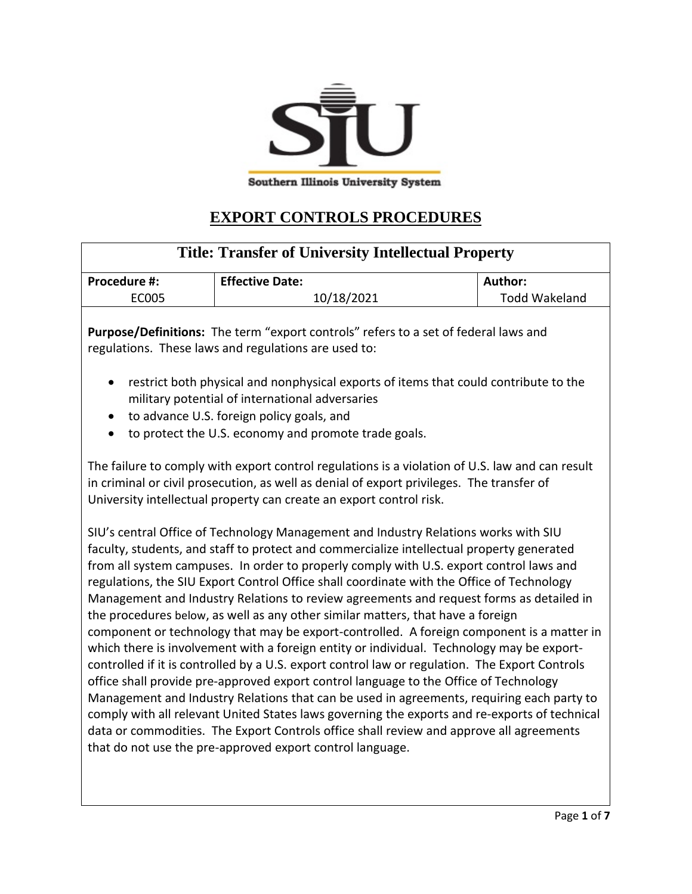

## **EXPORT CONTROLS PROCEDURES**

| <b>Title: Transfer of University Intellectual Property</b>                                                                                                                                                                                                                                                                                                                                                                                                                                                                                                                                                                                                                                                                                                                                                                                                                                                                                                                                                                                                                                                                                                                                                                                                                                        |                        |                      |
|---------------------------------------------------------------------------------------------------------------------------------------------------------------------------------------------------------------------------------------------------------------------------------------------------------------------------------------------------------------------------------------------------------------------------------------------------------------------------------------------------------------------------------------------------------------------------------------------------------------------------------------------------------------------------------------------------------------------------------------------------------------------------------------------------------------------------------------------------------------------------------------------------------------------------------------------------------------------------------------------------------------------------------------------------------------------------------------------------------------------------------------------------------------------------------------------------------------------------------------------------------------------------------------------------|------------------------|----------------------|
| Procedure #:                                                                                                                                                                                                                                                                                                                                                                                                                                                                                                                                                                                                                                                                                                                                                                                                                                                                                                                                                                                                                                                                                                                                                                                                                                                                                      | <b>Effective Date:</b> | Author:              |
| <b>EC005</b>                                                                                                                                                                                                                                                                                                                                                                                                                                                                                                                                                                                                                                                                                                                                                                                                                                                                                                                                                                                                                                                                                                                                                                                                                                                                                      | 10/18/2021             | <b>Todd Wakeland</b> |
| Purpose/Definitions: The term "export controls" refers to a set of federal laws and<br>regulations. These laws and regulations are used to:                                                                                                                                                                                                                                                                                                                                                                                                                                                                                                                                                                                                                                                                                                                                                                                                                                                                                                                                                                                                                                                                                                                                                       |                        |                      |
| restrict both physical and nonphysical exports of items that could contribute to the<br>$\bullet$<br>military potential of international adversaries<br>to advance U.S. foreign policy goals, and<br>$\bullet$<br>to protect the U.S. economy and promote trade goals.<br>$\bullet$                                                                                                                                                                                                                                                                                                                                                                                                                                                                                                                                                                                                                                                                                                                                                                                                                                                                                                                                                                                                               |                        |                      |
| The failure to comply with export control regulations is a violation of U.S. law and can result<br>in criminal or civil prosecution, as well as denial of export privileges. The transfer of<br>University intellectual property can create an export control risk.                                                                                                                                                                                                                                                                                                                                                                                                                                                                                                                                                                                                                                                                                                                                                                                                                                                                                                                                                                                                                               |                        |                      |
| SIU's central Office of Technology Management and Industry Relations works with SIU<br>faculty, students, and staff to protect and commercialize intellectual property generated<br>from all system campuses. In order to properly comply with U.S. export control laws and<br>regulations, the SIU Export Control Office shall coordinate with the Office of Technology<br>Management and Industry Relations to review agreements and request forms as detailed in<br>the procedures below, as well as any other similar matters, that have a foreign<br>component or technology that may be export-controlled. A foreign component is a matter in<br>which there is involvement with a foreign entity or individual. Technology may be export-<br>controlled if it is controlled by a U.S. export control law or regulation. The Export Controls<br>office shall provide pre-approved export control language to the Office of Technology<br>Management and Industry Relations that can be used in agreements, requiring each party to<br>comply with all relevant United States laws governing the exports and re-exports of technical<br>data or commodities. The Export Controls office shall review and approve all agreements<br>that do not use the pre-approved export control language. |                        |                      |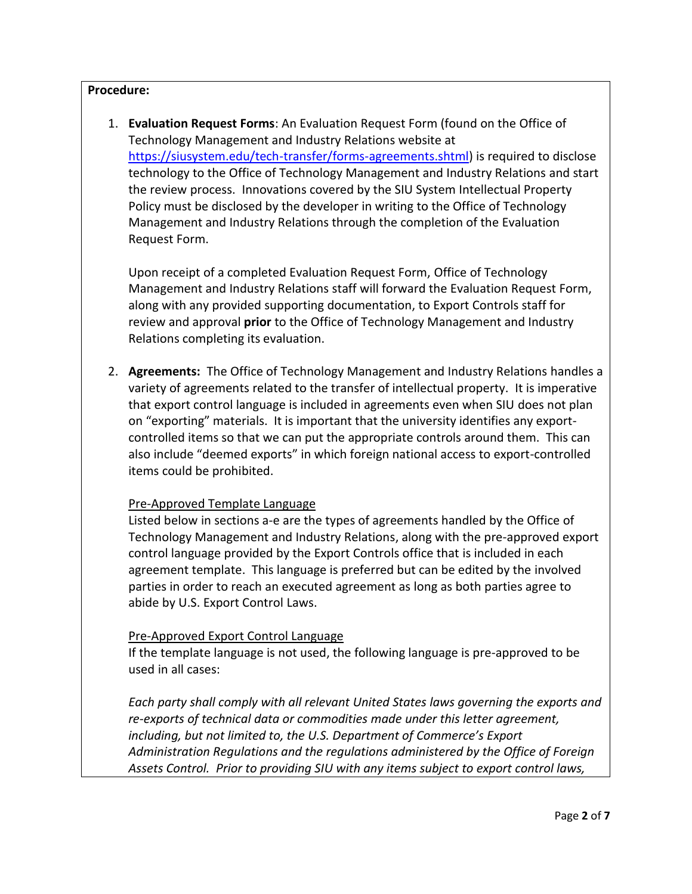## **Procedure:**

1. **Evaluation Request Forms**: An Evaluation Request Form (found on the Office of Technology Management and Industry Relations website at [https://siusystem.edu/tech-transfer/forms-agreements.shtml\)](https://siusystem.edu/tech-transfer/forms-agreements.shtml) is required to disclose technology to the Office of Technology Management and Industry Relations and start the review process. Innovations covered by the SIU System Intellectual Property Policy must be disclosed by the developer in writing to the Office of Technology Management and Industry Relations through the completion of the Evaluation Request Form.

Upon receipt of a completed Evaluation Request Form, Office of Technology Management and Industry Relations staff will forward the Evaluation Request Form, along with any provided supporting documentation, to Export Controls staff for review and approval **prior** to the Office of Technology Management and Industry Relations completing its evaluation.

2. **Agreements:** The Office of Technology Management and Industry Relations handles a variety of agreements related to the transfer of intellectual property. It is imperative that export control language is included in agreements even when SIU does not plan on "exporting" materials. It is important that the university identifies any exportcontrolled items so that we can put the appropriate controls around them. This can also include "deemed exports" in which foreign national access to export-controlled items could be prohibited.

## Pre-Approved Template Language

Listed below in sections a-e are the types of agreements handled by the Office of Technology Management and Industry Relations, along with the pre-approved export control language provided by the Export Controls office that is included in each agreement template. This language is preferred but can be edited by the involved parties in order to reach an executed agreement as long as both parties agree to abide by U.S. Export Control Laws.

## Pre-Approved Export Control Language

If the template language is not used, the following language is pre-approved to be used in all cases:

*Each party shall comply with all relevant United States laws governing the exports and re-exports of technical data or commodities made under this letter agreement, including, but not limited to, the U.S. Department of Commerce's Export Administration Regulations and the regulations administered by the Office of Foreign Assets Control. Prior to providing SIU with any items subject to export control laws,*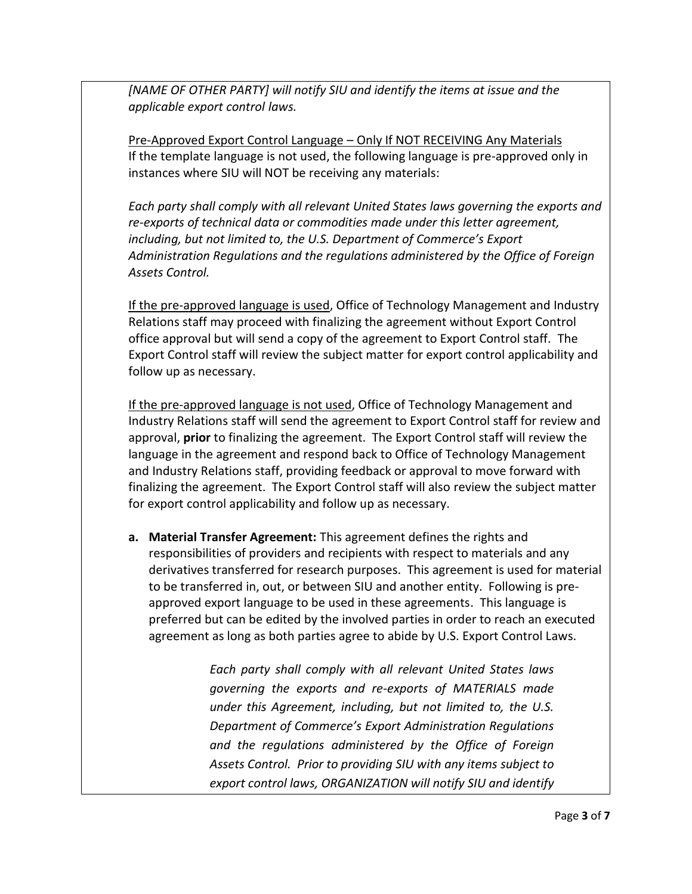*[NAME OF OTHER PARTY] will notify SIU and identify the items at issue and the applicable export control laws.*

Pre-Approved Export Control Language – Only If NOT RECEIVING Any Materials If the template language is not used, the following language is pre-approved only in instances where SIU will NOT be receiving any materials:

*Each party shall comply with all relevant United States laws governing the exports and re-exports of technical data or commodities made under this letter agreement, including, but not limited to, the U.S. Department of Commerce's Export Administration Regulations and the regulations administered by the Office of Foreign Assets Control.*

If the pre-approved language is used, Office of Technology Management and Industry Relations staff may proceed with finalizing the agreement without Export Control office approval but will send a copy of the agreement to Export Control staff. The Export Control staff will review the subject matter for export control applicability and follow up as necessary.

If the pre-approved language is not used, Office of Technology Management and Industry Relations staff will send the agreement to Export Control staff for review and approval, **prior** to finalizing the agreement. The Export Control staff will review the language in the agreement and respond back to Office of Technology Management and Industry Relations staff, providing feedback or approval to move forward with finalizing the agreement. The Export Control staff will also review the subject matter for export control applicability and follow up as necessary.

**a. Material Transfer Agreement:** This agreement defines the rights and responsibilities of providers and recipients with respect to materials and any derivatives transferred for research purposes. This agreement is used for material to be transferred in, out, or between SIU and another entity. Following is preapproved export language to be used in these agreements. This language is preferred but can be edited by the involved parties in order to reach an executed agreement as long as both parties agree to abide by U.S. Export Control Laws.

> *Each party shall comply with all relevant United States laws governing the exports and re-exports of MATERIALS made under this Agreement, including, but not limited to, the U.S. Department of Commerce's Export Administration Regulations and the regulations administered by the Office of Foreign Assets Control. Prior to providing SIU with any items subject to export control laws, ORGANIZATION will notify SIU and identify*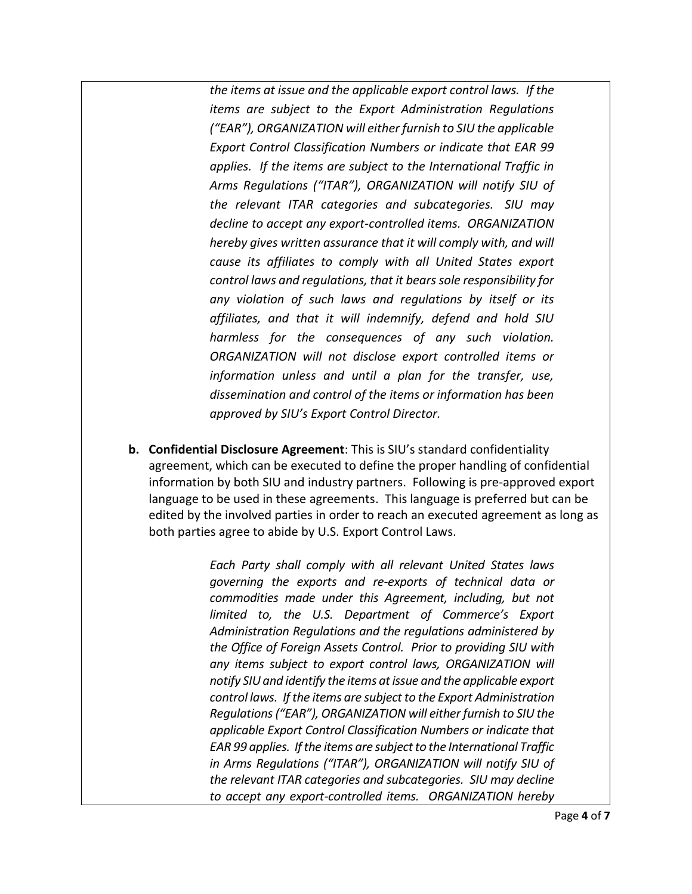*the items at issue and the applicable export control laws. If the items are subject to the Export Administration Regulations ("EAR"), ORGANIZATION will either furnish to SIU the applicable Export Control Classification Numbers or indicate that EAR 99 applies. If the items are subject to the International Traffic in Arms Regulations ("ITAR"), ORGANIZATION will notify SIU of the relevant ITAR categories and subcategories. SIU may decline to accept any export-controlled items. ORGANIZATION hereby gives written assurance that it will comply with, and will cause its affiliates to comply with all United States export control laws and regulations, that it bears sole responsibility for any violation of such laws and regulations by itself or its affiliates, and that it will indemnify, defend and hold SIU harmless for the consequences of any such violation. ORGANIZATION will not disclose export controlled items or information unless and until a plan for the transfer, use, dissemination and control of the items or information has been approved by SIU's Export Control Director.*

**b. Confidential Disclosure Agreement**: This is SIU's standard confidentiality agreement, which can be executed to define the proper handling of confidential information by both SIU and industry partners. Following is pre-approved export language to be used in these agreements. This language is preferred but can be edited by the involved parties in order to reach an executed agreement as long as both parties agree to abide by U.S. Export Control Laws.

> *Each Party shall comply with all relevant United States laws governing the exports and re-exports of technical data or commodities made under this Agreement, including, but not limited to, the U.S. Department of Commerce's Export Administration Regulations and the regulations administered by the Office of Foreign Assets Control. Prior to providing SIU with any items subject to export control laws, ORGANIZATION will notify SIU and identify the items at issue and the applicable export control laws. If the items are subject to the Export Administration Regulations ("EAR"), ORGANIZATION will either furnish to SIU the applicable Export Control Classification Numbers or indicate that EAR 99 applies. If the items are subject to the International Traffic in Arms Regulations ("ITAR"), ORGANIZATION will notify SIU of the relevant ITAR categories and subcategories. SIU may decline to accept any export-controlled items. ORGANIZATION hereby*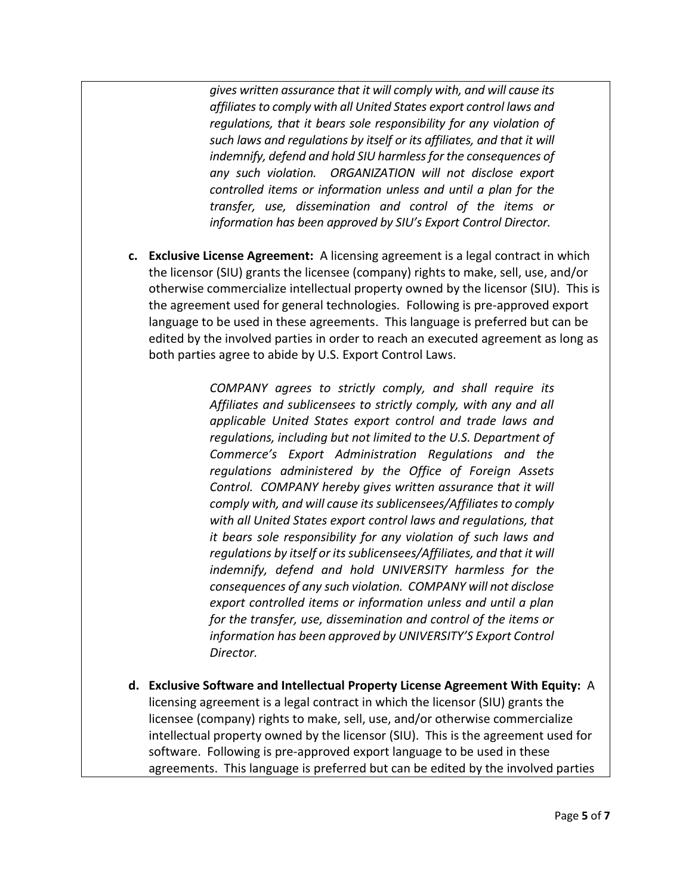*gives written assurance that it will comply with, and will cause its affiliates to comply with all United States export control laws and regulations, that it bears sole responsibility for any violation of such laws and regulations by itself or its affiliates, and that it will indemnify, defend and hold SIU harmless for the consequences of any such violation. ORGANIZATION will not disclose export controlled items or information unless and until a plan for the transfer, use, dissemination and control of the items or information has been approved by SIU's Export Control Director.*

**c. Exclusive License Agreement:** A licensing agreement is a legal contract in which the licensor (SIU) grants the licensee (company) rights to make, sell, use, and/or otherwise commercialize intellectual property owned by the licensor (SIU). This is the agreement used for general technologies. Following is pre-approved export language to be used in these agreements. This language is preferred but can be edited by the involved parties in order to reach an executed agreement as long as both parties agree to abide by U.S. Export Control Laws.

> *COMPANY agrees to strictly comply, and shall require its Affiliates and sublicensees to strictly comply, with any and all applicable United States export control and trade laws and regulations, including but not limited to the U.S. Department of Commerce's Export Administration Regulations and the regulations administered by the Office of Foreign Assets Control. COMPANY hereby gives written assurance that it will comply with, and will cause its sublicensees/Affiliates to comply with all United States export control laws and regulations, that it bears sole responsibility for any violation of such laws and regulations by itself or its sublicensees/Affiliates, and that it will indemnify, defend and hold UNIVERSITY harmless for the consequences of any such violation. COMPANY will not disclose export controlled items or information unless and until a plan for the transfer, use, dissemination and control of the items or information has been approved by UNIVERSITY'S Export Control Director.*

**d. Exclusive Software and Intellectual Property License Agreement With Equity:** A licensing agreement is a legal contract in which the licensor (SIU) grants the licensee (company) rights to make, sell, use, and/or otherwise commercialize intellectual property owned by the licensor (SIU). This is the agreement used for software. Following is pre-approved export language to be used in these agreements. This language is preferred but can be edited by the involved parties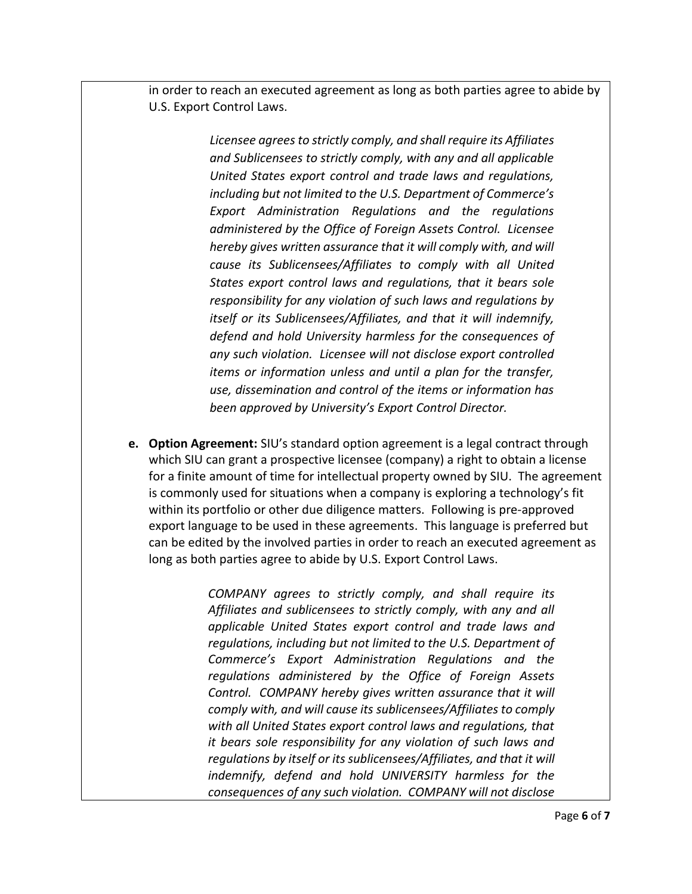in order to reach an executed agreement as long as both parties agree to abide by U.S. Export Control Laws.

> *Licensee agrees to strictly comply, and shall require its Affiliates and Sublicensees to strictly comply, with any and all applicable United States export control and trade laws and regulations, including but not limited to the U.S. Department of Commerce's Export Administration Regulations and the regulations administered by the Office of Foreign Assets Control. Licensee hereby gives written assurance that it will comply with, and will cause its Sublicensees/Affiliates to comply with all United States export control laws and regulations, that it bears sole responsibility for any violation of such laws and regulations by itself or its Sublicensees/Affiliates, and that it will indemnify, defend and hold University harmless for the consequences of any such violation. Licensee will not disclose export controlled items or information unless and until a plan for the transfer, use, dissemination and control of the items or information has been approved by University's Export Control Director.*

**e. Option Agreement:** SIU's standard option agreement is a legal contract through which SIU can grant a prospective licensee (company) a right to obtain a license for a finite amount of time for intellectual property owned by SIU. The agreement is commonly used for situations when a company is exploring a technology's fit within its portfolio or other due diligence matters. Following is pre-approved export language to be used in these agreements. This language is preferred but can be edited by the involved parties in order to reach an executed agreement as long as both parties agree to abide by U.S. Export Control Laws.

> *COMPANY agrees to strictly comply, and shall require its Affiliates and sublicensees to strictly comply, with any and all applicable United States export control and trade laws and regulations, including but not limited to the U.S. Department of Commerce's Export Administration Regulations and the regulations administered by the Office of Foreign Assets Control. COMPANY hereby gives written assurance that it will comply with, and will cause its sublicensees/Affiliates to comply with all United States export control laws and regulations, that it bears sole responsibility for any violation of such laws and regulations by itself or its sublicensees/Affiliates, and that it will indemnify, defend and hold UNIVERSITY harmless for the consequences of any such violation. COMPANY will not disclose*